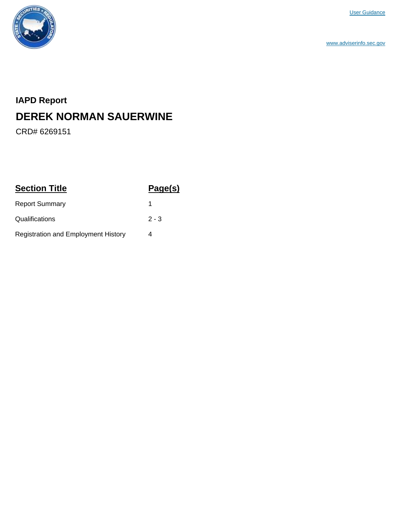

www.adviserinfo.sec.gov

# **IAPD Report DEREK NORMAN SAUERWINE**

CRD# 6269151

| <b>Section Title</b>                       | Page(s) |
|--------------------------------------------|---------|
| <b>Report Summary</b>                      |         |
| Qualifications                             | $2 - 3$ |
| <b>Registration and Employment History</b> | 4       |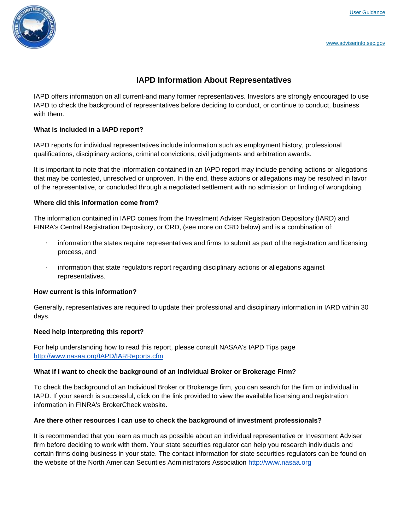

### **IAPD Information About Representatives**

IAPD offers information on all current-and many former representatives. Investors are strongly encouraged to use IAPD to check the background of representatives before deciding to conduct, or continue to conduct, business with them.

#### **What is included in a IAPD report?**

IAPD reports for individual representatives include information such as employment history, professional qualifications, disciplinary actions, criminal convictions, civil judgments and arbitration awards.

It is important to note that the information contained in an IAPD report may include pending actions or allegations that may be contested, unresolved or unproven. In the end, these actions or allegations may be resolved in favor of the representative, or concluded through a negotiated settlement with no admission or finding of wrongdoing.

#### **Where did this information come from?**

The information contained in IAPD comes from the Investment Adviser Registration Depository (IARD) and FINRA's Central Registration Depository, or CRD, (see more on CRD below) and is a combination of:

- · information the states require representatives and firms to submit as part of the registration and licensing process, and
- information that state regulators report regarding disciplinary actions or allegations against representatives.

#### **How current is this information?**

Generally, representatives are required to update their professional and disciplinary information in IARD within 30 days.

#### **Need help interpreting this report?**

For help understanding how to read this report, please consult NASAA's IAPD Tips page <http://www.nasaa.org/IAPD/IARReports.cfm>

#### **What if I want to check the background of an Individual Broker or Brokerage Firm?**

To check the background of an Individual Broker or Brokerage firm, you can search for the firm or individual in IAPD. If your search is successful, click on the link provided to view the available licensing and registration information in FINRA's BrokerCheck website.

#### **Are there other resources I can use to check the background of investment professionals?**

It is recommended that you learn as much as possible about an individual representative or Investment Adviser firm before deciding to work with them. Your state securities regulator can help you research individuals and certain firms doing business in your state. The contact information for state securities regulators can be found on the website of the North American Securities Administrators Association <http://www.nasaa.org>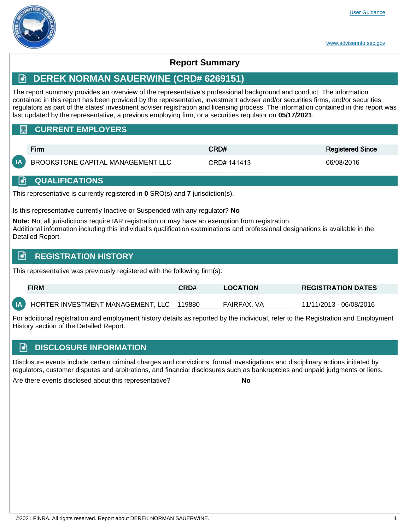

# **Report Summary**

# **DEREK NORMAN SAUERWINE (CRD# 6269151)**

The report summary provides an overview of the representative's professional background and conduct. The information contained in this report has been provided by the representative, investment adviser and/or securities firms, and/or securities regulators as part of the states' investment adviser registration and licensing process. The information contained in this report was last updated by the representative, a previous employing firm, or a securities regulator on **05/17/2021**.

## **CURRENT EMPLOYERS**

| Firm                                 | CRD#        | Registered Since |  |
|--------------------------------------|-------------|------------------|--|
| IA BROOKSTONE CAPITAL MANAGEMENT LLC | CRD# 141413 | 06/08/2016       |  |

### **A** QUALIFICATIONS

This representative is currently registered in **0** SRO(s) and **7** jurisdiction(s).

Is this representative currently Inactive or Suspended with any regulator? **No**

**Note:** Not all jurisdictions require IAR registration or may have an exemption from registration. Additional information including this individual's qualification examinations and professional designations is available in the Detailed Report.

# **R** REGISTRATION HISTORY

This representative was previously registered with the following firm(s):

|      | <b>FIRM</b>                       | CRD#   | <b>LOCATION</b> | <b>REGISTRATION DATES</b> |
|------|-----------------------------------|--------|-----------------|---------------------------|
| IA I | HORTER INVESTMENT MANAGEMENT, LLC | 119880 | FAIRFAX. VA     | 11/11/2013 - 06/08/2016   |

For additional registration and employment history details as reported by the individual, refer to the Registration and Employment History section of the Detailed Report.

# **E** DISCLOSURE INFORMATION

Disclosure events include certain criminal charges and convictions, formal investigations and disciplinary actions initiated by regulators, customer disputes and arbitrations, and financial disclosures such as bankruptcies and unpaid judgments or liens.

Are there events disclosed about this representative? **No**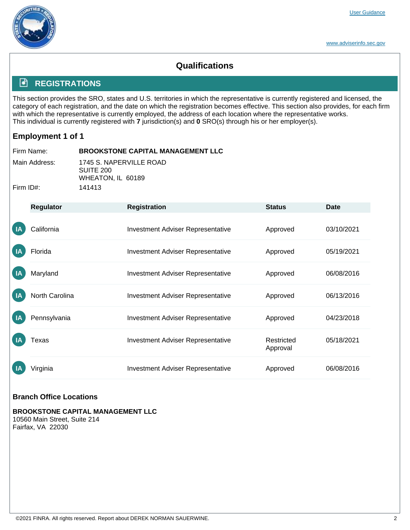

www.adviserinfo.sec.gov

# **Qualifications**

# **REGISTRATIONS**

This section provides the SRO, states and U.S. territories in which the representative is currently registered and licensed, the category of each registration, and the date on which the registration becomes effective. This section also provides, for each firm with which the representative is currently employed, the address of each location where the representative works. This individual is currently registered with **7** jurisdiction(s) and **0** SRO(s) through his or her employer(s).

# **Employment 1 of 1**

| ∣ Firm Name:  | <b>BROOKSTONE CAPITAL MANAGEMENT LLC</b>                  |
|---------------|-----------------------------------------------------------|
| Main Address: | 1745 S. NAPERVILLE ROAD<br>SUITE 200<br>WHEATON, IL 60189 |
| ∣ Firm ID#:   | 141413                                                    |

|                | Regulator      | <b>Registration</b>                      | <b>Status</b>          | <b>Date</b> |
|----------------|----------------|------------------------------------------|------------------------|-------------|
| IA             | California     | <b>Investment Adviser Representative</b> | Approved               | 03/10/2021  |
| IA             | Florida        | <b>Investment Adviser Representative</b> | Approved               | 05/19/2021  |
| $\overline{A}$ | Maryland       | <b>Investment Adviser Representative</b> | Approved               | 06/08/2016  |
| $\overline{A}$ | North Carolina | <b>Investment Adviser Representative</b> | Approved               | 06/13/2016  |
| $\overline{A}$ | Pennsylvania   | <b>Investment Adviser Representative</b> | Approved               | 04/23/2018  |
| $\mathsf{I}$   | Texas          | <b>Investment Adviser Representative</b> | Restricted<br>Approval | 05/18/2021  |
| <b>IA</b>      | Virginia       | <b>Investment Adviser Representative</b> | Approved               | 06/08/2016  |

### **Branch Office Locations**

**BROOKSTONE CAPITAL MANAGEMENT LLC** 10560 Main Street, Suite 214 Fairfax, VA 22030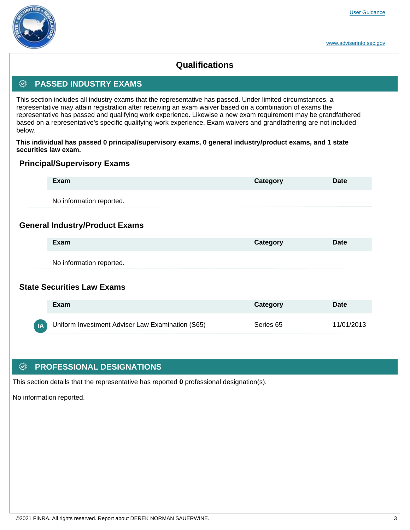# **Qualifications**

## **<b>** $\ddot{\odot}$  PASSED INDUSTRY EXAMS

This section includes all industry exams that the representative has passed. Under limited circumstances, a representative may attain registration after receiving an exam waiver based on a combination of exams the representative has passed and qualifying work experience. Likewise a new exam requirement may be grandfathered based on a representative's specific qualifying work experience. Exam waivers and grandfathering are not included below.

**This individual has passed 0 principal/supervisory exams, 0 general industry/product exams, and 1 state securities law exam.**

### **Principal/Supervisory Exams**

|    | Exam                                             | Category  | Date        |
|----|--------------------------------------------------|-----------|-------------|
|    | No information reported.                         |           |             |
|    | <b>General Industry/Product Exams</b>            |           |             |
|    | Exam                                             | Category  | Date        |
|    | No information reported.                         |           |             |
|    | <b>State Securities Law Exams</b>                |           |             |
|    | Exam                                             | Category  | <b>Date</b> |
| IA | Uniform Investment Adviser Law Examination (S65) | Series 65 | 11/01/2013  |

### **<b>EXAMPLE PROFESSIONAL DESIGNATIONS**

This section details that the representative has reported **0** professional designation(s).

No information reported.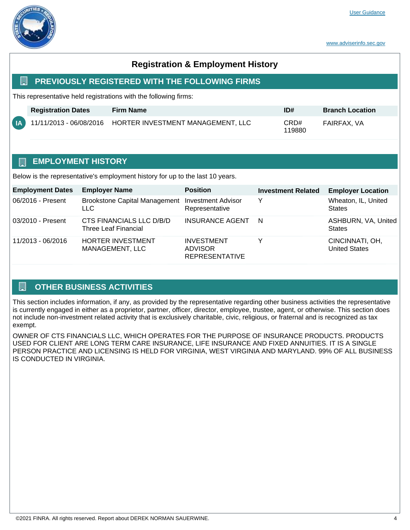

# **Registration & Employment History**

#### **EDEPTIOUSLY REGISTERED WITH THE FOLLOWING FIRMS**

This representative held registrations with the following firms:

|     | <b>Registration Dates</b> | <b>Firm Name</b> | ID#            | <b>Branch Location</b> |
|-----|---------------------------|------------------|----------------|------------------------|
| (A) |                           |                  | CRD#<br>119880 | FAIRFAX. VA            |

### **EMPLOYMENT HISTORY**

Below is the representative's employment history for up to the last 10 years.

| <b>Employment Dates</b> | <b>Employer Name</b>                                           | <b>Position</b>                                       | <b>Investment Related</b> | <b>Employer Location</b>                |
|-------------------------|----------------------------------------------------------------|-------------------------------------------------------|---------------------------|-----------------------------------------|
| 06/2016 - Present       | Brookstone Capital Management Investment Advisor<br><b>LLC</b> | Representative                                        | Y                         | Wheaton, IL, United<br><b>States</b>    |
| 03/2010 - Present       | CTS FINANCIALS LLC D/B/D<br>Three Leaf Financial               | <b>INSURANCE AGENT</b>                                | N                         | ASHBURN, VA, United<br><b>States</b>    |
| 11/2013 - 06/2016       | <b>HORTER INVESTMENT</b><br>MANAGEMENT, LLC                    | <b>INVESTMENT</b><br>ADVISOR<br><b>REPRESENTATIVE</b> | v                         | CINCINNATI, OH,<br><b>United States</b> |

### $\Box$  OTHER BUSINESS ACTIVITIES

This section includes information, if any, as provided by the representative regarding other business activities the representative is currently engaged in either as a proprietor, partner, officer, director, employee, trustee, agent, or otherwise. This section does not include non-investment related activity that is exclusively charitable, civic, religious, or fraternal and is recognized as tax exempt.

OWNER OF CTS FINANCIALS LLC, WHICH OPERATES FOR THE PURPOSE OF INSURANCE PRODUCTS. PRODUCTS USED FOR CLIENT ARE LONG TERM CARE INSURANCE, LIFE INSURANCE AND FIXED ANNUITIES. IT IS A SINGLE PERSON PRACTICE AND LICENSING IS HELD FOR VIRGINIA, WEST VIRGINIA AND MARYLAND. 99% OF ALL BUSINESS IS CONDUCTED IN VIRGINIA.